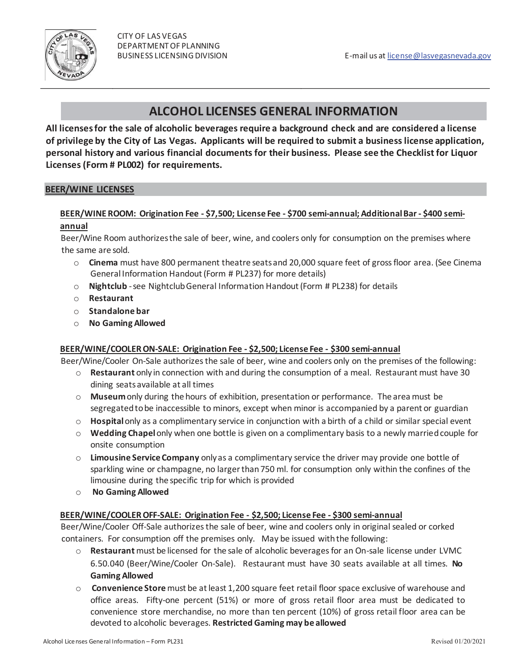

# **ALCOHOL LICENSES GENERAL INFORMATION**

**All licenses for the sale of alcoholic beverages require a background check and are considered a license of privilege by the City of Las Vegas. Applicants will be required to submit a business license application, personal history and various financial documents for their business. Please see the Checklist for Liquor Licenses (Form # PL002) for requirements.** 

#### **BEER/WINE LICENSES**

#### **BEER/WINE ROOM: Origination Fee - \$7,500; License Fee - \$700 semi-annual; Additional Bar - \$400 semiannual**

Beer/Wine Room authorizes the sale of beer, wine, and coolers only for consumption on the premises where the same are sold.

- o **Cinema** must have 800 permanent theatre seats and 20,000 square feet of gross floor area. (See Cinema General Information Handout (Form # PL237) for more details)
- o **Nightclub** -see Nightclub General Information Handout (Form # PL238) for details
- o **Restaurant**
- o **Standalone bar**
- o **No Gaming Allowed**

h

#### **BEER/WINE/COOLER ON-SALE: Origination Fee - \$2,500; License Fee - \$300 semi-annual**

Beer/Wine/Cooler On-Sale authorizes the sale of beer, wine and coolers only on the premises of the following:

- o **Restaurant** only in connection with and during the consumption of a meal. Restaurant must have 30 dining seats available at all times
- o **Museum**only during the hours of exhibition, presentation or performance. The area must be segregated to be inaccessible to minors, except when minor is accompanied by a parent or guardian
- o **Hospital**only as a complimentary service in conjunction with a birth of a child or similar special event
- o **Wedding Chapel**only when one bottle is given on a complimentary basis to a newly married couple for onsite consumption
- o **Limousine Service Company** only as a complimentary service the driver may provide one bottle of sparkling wine or champagne, no larger than 750 ml. for consumption only within the confines of the limousine during the specific trip for which is provided
- o **No Gaming Allowed**

#### **BEER/WINE/COOLER OFF-SALE: Origination Fee - \$2,500; License Fee - \$300 semi-annual**

Beer/Wine/Cooler Off-Sale authorizes the sale of beer, wine and coolers only in original sealed or corked containers. For consumption off the premises only. May be issued with the following:

- o **Restaurant** must be licensed for the sale of alcoholic beverages for an On-sale license under LVMC 6.50.040 (Beer/Wine/Cooler On-Sale). Restaurant must have 30 seats available at all times. **No Gaming Allowed**
- o **Convenience Store** must be at least 1,200 square feet retail floor space exclusive of warehouse and office areas. Fifty-one percent (51%) or more of gross retail floor area must be dedicated to convenience store merchandise, no more than ten percent (10%) of gross retail floor area can be devoted to alcoholic beverages. **Restricted Gaming may be allowed**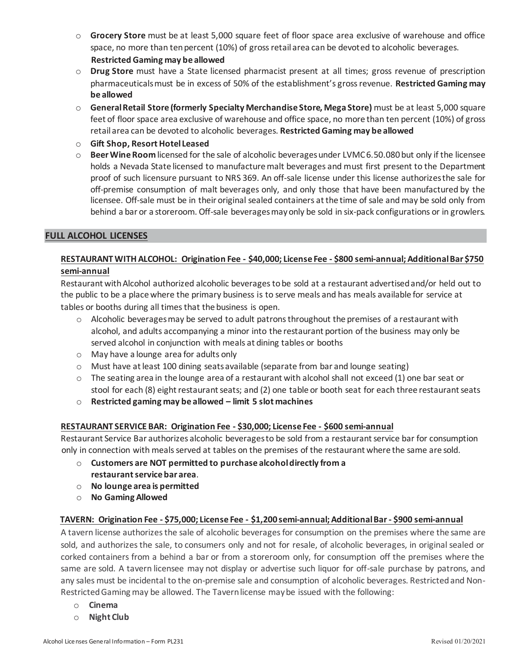- o **Grocery Store** must be at least 5,000 square feet of floor space area exclusive of warehouse and office space, no more than ten percent (10%) of gross retail area can be devoted to alcoholic beverages. **Restricted Gaming may be allowed**
- o **Drug Store** must have a State licensed pharmacist present at all times; gross revenue of prescription pharmaceuticals must be in excess of 50% of the establishment's gross revenue. **Restricted Gaming may be allowed**
- o **General Retail Store (formerly Specialty Merchandise Store, Mega Store)** must be at least 5,000 square feet of floor space area exclusive of warehouse and office space, no more than ten percent (10%) of gross retail area can be devoted to alcoholic beverages. **Restricted Gaming may be allowed**
- o **Gift Shop, Resort Hotel Leased**
- o **Beer Wine Room** licensed for the sale of alcoholic beverages under LVMC 6.50.080 but only if the licensee holds a Nevada State licensed to manufacture malt beverages and must first present to the Department proof of such licensure pursuant to NRS 369. An off-sale license under this license authorizes the sale for off-premise consumption of malt beverages only, and only those that have been manufactured by the licensee. Off-sale must be in their original sealed containers at the time of sale and may be sold only from behind a bar or a storeroom. Off-sale beverages may only be sold in six-pack configurations or in growlers.

#### **FULL ALCOHOL LICENSES**

# **RESTAURANT WITH ALCOHOL: Origination Fee - \$40,000; License Fee - \$800 semi-annual; Additional Bar \$750 semi-annual**

Restaurant with Alcohol authorized alcoholic beverages to be sold at a restaurant advertised and/or held out to the public to be a place where the primary business is to serve meals and has meals available for service at tables or booths during all times that the business is open.

- $\circ$  Alcoholic beverages may be served to adult patrons throughout the premises of a restaurant with alcohol, and adults accompanying a minor into the restaurant portion of the business may only be served alcohol in conjunction with meals at dining tables or booths
- o May have a lounge area for adults only
- o Must have at least 100 dining seats available (separate from bar and lounge seating)
- $\circ$  The seating area in the lounge area of a restaurant with alcohol shall not exceed (1) one bar seat or stool for each (8) eight restaurant seats; and (2) one table or booth seat for each three restaurant seats
- o **Restricted gaming may be allowed – limit 5 slot machines**

# **RESTAURANT SERVICE BAR: Origination Fee - \$30,000; License Fee - \$600 semi-annual**

Restaurant Service Bar authorizes alcoholic beverages to be sold from a restaurant service bar for consumption only in connection with meals served at tables on the premises of the restaurant where the same are sold.

- o **Customers are NOT permitted to purchase alcohol directly from a restaurant service bar area**.
- o **No lounge area is permitted**
- o **No Gaming Allowed**

#### **TAVERN: Origination Fee - \$75,000; License Fee - \$1,200 semi-annual; Additional Bar - \$900 semi-annual**

A tavern license authorizes the sale of alcoholic beverages for consumption on the premises where the same are sold, and authorizes the sale, to consumers only and not for resale, of alcoholic beverages, in original sealed or corked containers from a behind a bar or from a storeroom only, for consumption off the premises where the same are sold. A tavern licensee may not display or advertise such liquor for off-sale purchase by patrons, and any sales must be incidental to the on-premise sale and consumption of alcoholic beverages. Restricted and Non-Restricted Gaming may be allowed. The Tavern license may be issued with the following:

- o **Cinema**
- o **Night Club**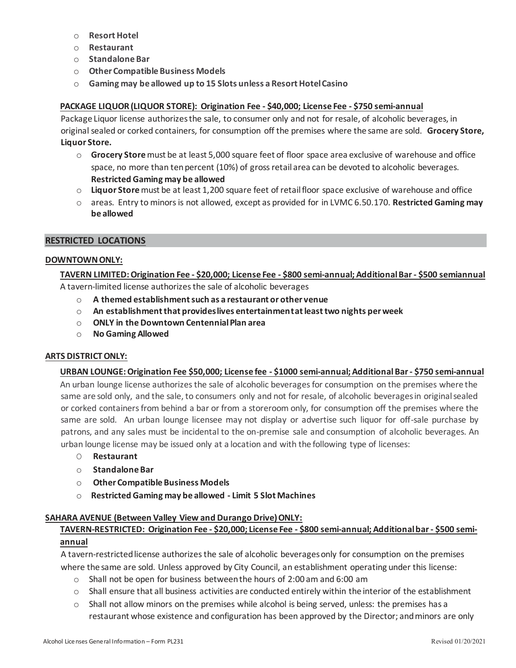- o **Resort Hotel**
- o **Restaurant**
- o **Standalone Bar**
- o **Other Compatible Business Models**
- o **Gaming may be allowed up to 15 Slots unless a Resort Hotel Casino**

# **PACKAGE LIQUOR (LIQUOR STORE): Origination Fee - \$40,000; License Fee - \$750 semi-annual**

Package Liquor license authorizesthe sale, to consumer only and not for resale, of alcoholic beverages, in original sealed or corked containers, for consumption off the premises where the same are sold. **Grocery Store, Liquor Store.**

- o **Grocery Store** must be at least 5,000 square feet of floor space area exclusive of warehouse and office space, no more than ten percent (10%) of gross retail area can be devoted to alcoholic beverages. **Restricted Gaming may be allowed**
- o **Liquor Store**must be at least 1,200 square feet of retail floor space exclusive of warehouse and office
- o areas. Entry to minors is not allowed, except as provided for in LVMC 6.50.170. **Restricted Gaming may be allowed**

#### **RESTRICTED LOCATIONS**

#### **DOWNTOWN ONLY:**

#### **TAVERN LIMITED: Origination Fee - \$20,000; License Fee - \$800 semi-annual; Additional Bar - \$500 semiannual**  A tavern-limited license authorizes the sale of alcoholic beverages

- o **A themed establishment such as a restaurant or other venue**
- o **An establishment that provides lives entertainment at least two nights per week**
- o **ONLY in theDowntown Centennial Plan area**
- o **No Gaming Allowed**

#### **ARTS DISTRICT ONLY:**

#### **URBAN LOUNGE: Origination Fee \$50,000; License fee - \$1000 semi-annual; Additional Bar - \$750 semi-annual**

An urban lounge license authorizes the sale of alcoholic beverages for consumption on the premises where the same are sold only, and the sale, to consumers only and not for resale, of alcoholic beverages in original sealed or corked containers from behind a bar or from a storeroom only, for consumption off the premises where the same are sold. An urban lounge licensee may not display or advertise such liquor for off-sale purchase by patrons, and any sales must be incidental to the on-premise sale and consumption of alcoholic beverages. An urban lounge license may be issued only at a location and with the following type of licenses:

- O **Restaurant**
- o **Standalone Bar**
- o **Other Compatible Business Models**
- o **Restricted Gaming may be allowed - Limit 5 Slot Machines**

#### **SAHARA AVENUE (Between Valley View and Durango Drive) ONLY:**

#### **TAVERN-RESTRICTED: Origination Fee - \$20,000; License Fee - \$800 semi-annual; Additional bar - \$500 semi-**

#### **annual**

A tavern-restricted license authorizes the sale of alcoholic beverages only for consumption on the premises where the same are sold. Unless approved by City Council, an establishment operating under this license:

- $\circ$  Shall not be open for business between the hours of 2:00 am and 6:00 am
- $\circ$  Shall ensure that all business activities are conducted entirely within the interior of the establishment
- $\circ$  Shall not allow minors on the premises while alcohol is being served, unless: the premises has a restaurant whose existence and configuration has been approved by the Director; and minors are only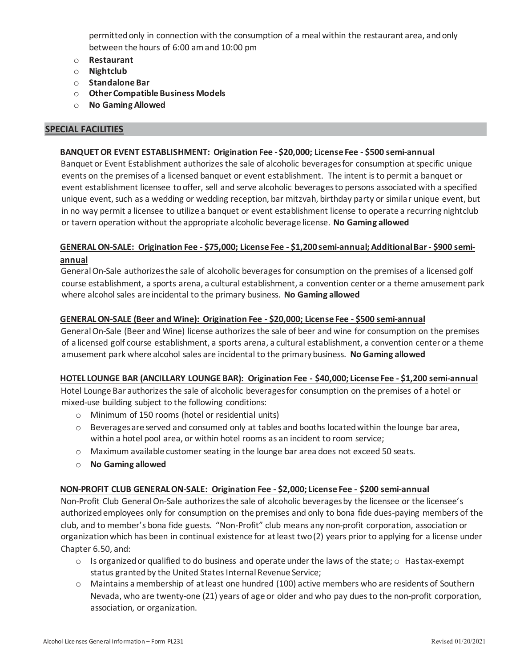permitted only in connection with the consumption of a meal within the restaurant area, and only between the hours of 6:00 am and 10:00 pm

- o **Restaurant**
- o **Nightclub**
- o **Standalone Bar**
- o **Other Compatible Business Models**
- o **No Gaming Allowed**

#### **SPECIAL FACILITIES**

#### **BANQUET OR EVENT ESTABLISHMENT: Origination Fee -\$20,000; License Fee - \$500 semi-annual**

Banquet or Event Establishment authorizes the sale of alcoholic beverages for consumption at specific unique events on the premises of a licensed banquet or event establishment. The intent is to permit a banquet or event establishment licensee to offer, sell and serve alcoholic beverages to persons associated with a specified unique event, such as a wedding or wedding reception, bar mitzvah, birthday party or similar unique event, but in no way permit a licensee to utilize a banquet or event establishment license to operate a recurring nightclub or tavern operation without the appropriate alcoholic beverage license. **No Gaming allowed**

# **GENERAL ON-SALE: Origination Fee - \$75,000; License Fee - \$1,200 semi-annual; Additional Bar - \$900 semiannual**

General On-Sale authorizes the sale of alcoholic beverages for consumption on the premises of a licensed golf course establishment, a sports arena, a cultural establishment, a convention center or a theme amusement park where alcohol sales are incidental to the primary business. **No Gaming allowed**

#### **GENERAL ON-SALE (Beer and Wine): Origination Fee - \$20,000; License Fee - \$500 semi-annual**

General On-Sale (Beer and Wine) license authorizes the sale of beer and wine for consumption on the premises of a licensed golf course establishment, a sports arena, a cultural establishment, a convention center or a theme amusement park where alcohol sales are incidental to the primary business. **No Gaming allowed**

#### **HOTEL LOUNGE BAR (ANCILLARY LOUNGE BAR): Origination Fee - \$40,000; License Fee - \$1,200 semi-annual**

Hotel Lounge Bar authorizes the sale of alcoholic beverages for consumption on the premises of a hotel or mixed-use building subject to the following conditions:

- o Minimum of 150 rooms (hotel or residential units)
- o Beverages are served and consumed only at tables and booths located within the lounge bar area, within a hotel pool area, or within hotel rooms as an incident to room service;
- o Maximum available customer seating in the lounge bar area does not exceed 50 seats.
- o **No Gaming allowed**

#### **NON-PROFIT CLUB GENERAL ON-SALE: Origination Fee - \$2,000; License Fee - \$200 semi-annual**

Non-Profit Club General On-Sale authorizes the sale of alcoholic beverages by the licensee or the licensee's authorized employees only for consumption on the premises and only to bona fide dues-paying members of the club, and to member's bona fide guests. "Non-Profit" club means any non-profit corporation, association or organization which has been in continual existence for at least two (2) years prior to applying for a license under Chapter 6.50, and:

- $\circ$  Is organized or qualified to do business and operate under the laws of the state;  $\circ$  Has tax-exempt status granted by the United States Internal Revenue Service;
- o Maintains a membership of at least one hundred (100) active members who are residents of Southern Nevada, who are twenty-one (21) years of age or older and who pay dues to the non-profit corporation, association, or organization.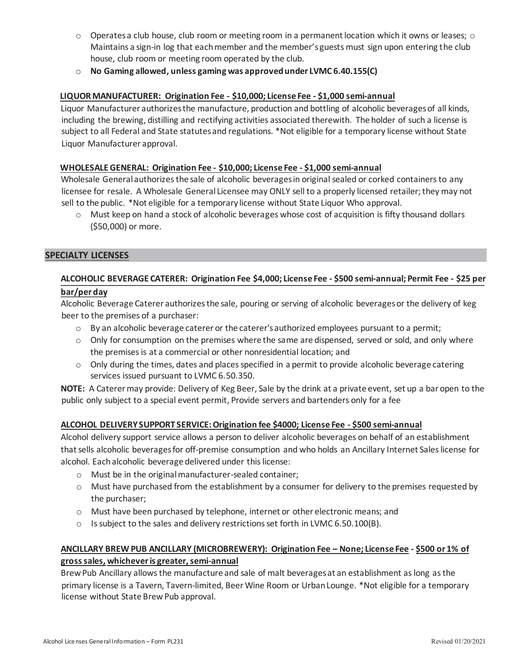- $\circ$  Operates a club house, club room or meeting room in a permanent location which it owns or leases;  $\circ$ Maintains a sign-in log that each member and the member's guests must sign upon entering the club house, club room or meeting room operated by the club.
- o **No Gaming allowed, unless gaming was approved under LVMC 6.40.155(C)**

# **LIQUOR MANUFACTURER: Origination Fee - \$10,000; License Fee - \$1,000 semi-annual**

Liquor Manufacturer authorizes the manufacture, production and bottling of alcoholic beverages of all kinds, including the brewing, distilling and rectifying activities associated therewith. The holder of such a license is subject to all Federal and State statutes and regulations. \*Not eligible for a temporary license without State Liquor Manufacturer approval.

#### **WHOLESALE GENERAL: Origination Fee - \$10,000; License Fee - \$1,000 semi-annual**

Wholesale General authorizes the sale of alcoholic beverages in original sealed or corked containers to any licensee for resale. A Wholesale General Licensee may ONLY sell to a properly licensed retailer; they may not sell to the public. \*Not eligible for a temporary license without State Liquor Who approval.

 $\circ$  Must keep on hand a stock of alcoholic beverages whose cost of acquisition is fifty thousand dollars (\$50,000) or more.

#### **SPECIALTY LICENSES**

# **ALCOHOLIC BEVERAGE CATERER: Origination Fee \$4,000; License Fee - \$500 semi-annual; Permit Fee - \$25 per bar/per day**

# Alcoholic Beverage Caterer authorizes the sale, pouring or serving of alcoholic beverages or the delivery of keg beer to the premises of a purchaser:

- $\circ$  By an alcoholic beverage caterer or the caterer's authorized employees pursuant to a permit;
- o Only for consumption on the premises where the same are dispensed, served or sold, and only where the premises is at a commercial or other nonresidential location; and
- $\circ$  Only during the times, dates and places specified in a permit to provide alcoholic beverage catering services issued pursuant to LVMC 6.50.350.

**NOTE:** A Caterer may provide: Delivery of Keg Beer, Sale by the drink at a private event, set up a bar open to the public only subject to a special event permit, Provide servers and bartenders only for a fee

#### **ALCOHOL DELIVERY SUPPORT SERVICE: Origination fee \$4000; License Fee - \$500 semi-annual**

Alcohol delivery support service allows a person to deliver alcoholic beverages on behalf of an establishment that sells alcoholic beverages for off-premise consumption and who holds an Ancillary Internet Sales license for alcohol. Each alcoholic beverage delivered under this license:

- o Must be in the original manufacturer-sealed container;
- $\circ$  Must have purchased from the establishment by a consumer for delivery to the premises requested by the purchaser;
- o Must have been purchased by telephone, internet or other electronic means; and
- o Is subject to the sales and delivery restrictions set forth in LVMC 6.50.100(B).

# **ANCILLARY BREW PUB ANCILLARY (MICROBREWERY): Origination Fee – None; License Fee - \$500 or 1% of gross sales, whichever is greater, semi-annual**

Brew Pub Ancillary allows the manufacture and sale of malt beverages at an establishment as long as the primary license is a Tavern, Tavern-limited, Beer Wine Room or Urban Lounge. \*Not eligible for a temporary license without State Brew Pub approval.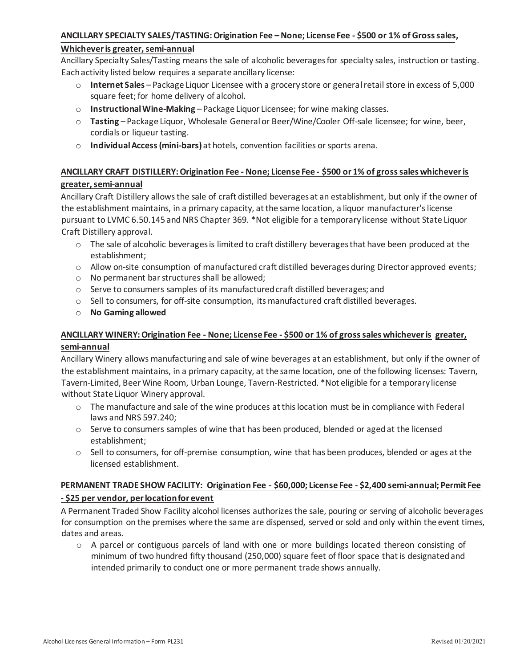#### **ANCILLARY SPECIALTY SALES/TASTING: Origination Fee –None; License Fee - \$500 or 1% of Gross sales,**

#### **Whichever is greater, semi-annual**

Ancillary Specialty Sales/Tasting means the sale of alcoholic beverages for specialty sales, instruction or tasting. Each activity listed below requires a separate ancillary license:

- o **Internet Sales**  Package Liquor Licensee with a grocery store or general retail store in excess of 5,000 square feet; for home delivery of alcohol.
- o **Instructional Wine-Making** Package Liquor Licensee; for wine making classes.
- o **Tasting**  Package Liquor, Wholesale General or Beer/Wine/Cooler Off-sale licensee; for wine, beer, cordials or liqueur tasting.
- o **Individual Access (mini-bars)** at hotels, convention facilities or sports arena.

# **ANCILLARY CRAFT DISTILLERY: Origination Fee - None; License Fee - \$500 or 1% of gross sales whichever is greater, semi-annual**

Ancillary Craft Distillery allows the sale of craft distilled beverages at an establishment, but only if the owner of the establishment maintains, in a primary capacity, at the same location, a liquor manufacturer's license pursuant to LVMC 6.50.145 and NRS Chapter 369. \*Not eligible for a temporary license without State Liquor Craft Distillery approval.

- $\circ$  The sale of alcoholic beverages is limited to craft distillery beverages that have been produced at the establishment;
- o Allow on-site consumption of manufactured craft distilled beverages during Director approved events;
- o No permanent bar structures shall be allowed;
- $\circ$  Serve to consumers samples of its manufactured craft distilled beverages; and
- $\circ$  Sell to consumers, for off-site consumption, its manufactured craft distilled beverages.
- o **No Gaming allowed**

# **ANCILLARY WINERY: Origination Fee - None; License Fee - \$500 or 1% of gross sales whichever is greater, semi-annual**

Ancillary Winery allows manufacturing and sale of wine beverages at an establishment, but only if the owner of the establishment maintains, in a primary capacity, at the same location, one of the following licenses: Tavern, Tavern-Limited, Beer Wine Room, Urban Lounge, Tavern-Restricted. \*Not eligible for a temporary license without State Liquor Winery approval.

- $\circ$  The manufacture and sale of the wine produces at this location must be in compliance with Federal laws and NRS 597.240;
- $\circ$  Serve to consumers samples of wine that has been produced, blended or aged at the licensed establishment;
- $\circ$  Sell to consumers, for off-premise consumption, wine that has been produces, blended or ages at the licensed establishment.

#### **PERMANENT TRADE SHOW FACILITY: Origination Fee - \$60,000; License Fee - \$2,400 semi-annual; Permit Fee - \$25 per vendor, per location for event**

A Permanent Traded Show Facility alcohol licenses authorizes the sale, pouring or serving of alcoholic beverages for consumption on the premises where the same are dispensed, served or sold and only within the event times, dates and areas.

 $\circ$  A parcel or contiguous parcels of land with one or more buildings located thereon consisting of minimum of two hundred fifty thousand (250,000) square feet of floor space that is designated and intended primarily to conduct one or more permanent trade shows annually.